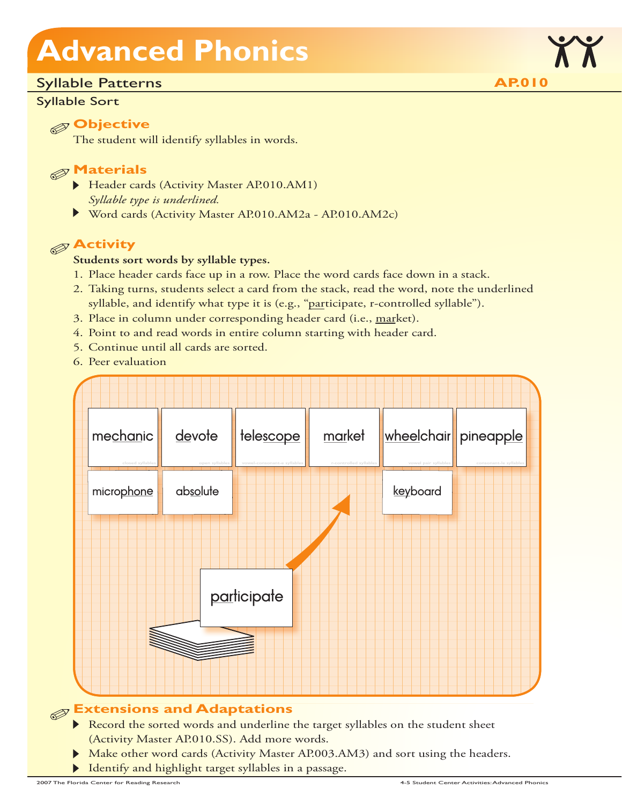### Syllable Patterns

#### Syllable Sort

### **Objective**

The student will identify syllables in words.

### **Materials**

- Header cards (Activity Master AP.010.AM1) *Syllable type is underlined.*
- Word cards (Activity Master AP.010.AM2a AP.010.AM2c)

### **Activity**

#### **Students sort words by syllable types.**

- 1. Place header cards face up in a row. Place the word cards face down in a stack.
- 2. Taking turns, students select a card from the stack, read the word, note the underlined syllable, and identify what type it is (e.g., "participate, r-controlled syllable").
- 3. Place in column under corresponding header card (i.e., market).
- 4. Point to and read words in entire column starting with header card.
- 5. Continue until all cards are sorted.
- 6. Peer evaluation



## **Extensions and Adaptations**

- Record the sorted words and underline the target syllables on the student sheet (Activity Master AP.010.SS). Add more words.
- Make other word cards (Activity Master AP.003.AM3) and sort using the headers.
- Identify and highlight target syllables in a passage.

**AP.010**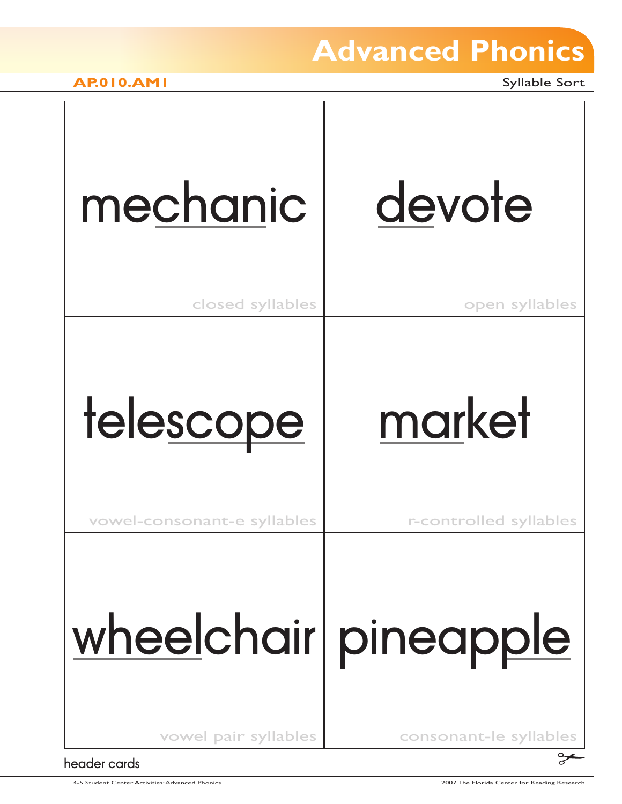**AP.010.AM1** Syllable Sort

# mechanic devote

closed syllables

open syllables

# telescope market

vowel-consonant-e syllables

r-controlled syllables

# wheelchair pineapple

vowel pair syllables consonant-le syllables

header cards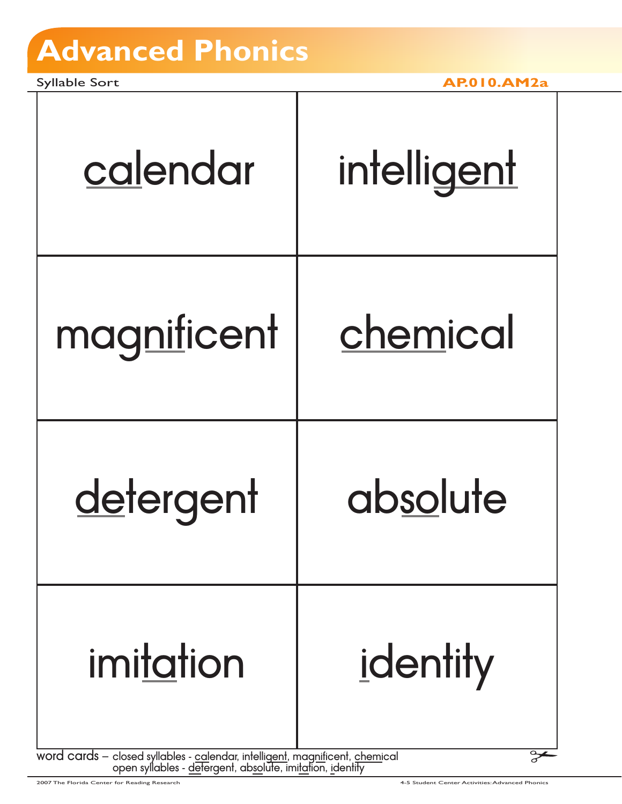Syllable Sort **AP.010.AM2a**

| intelligent                                                                                                                               |
|-------------------------------------------------------------------------------------------------------------------------------------------|
| chemical                                                                                                                                  |
| absolute                                                                                                                                  |
| identity                                                                                                                                  |
| word cards – closed syllables - calendar, intelligent, magnificent, chemical<br>open syllables - detergent, absolute, imitation, identity |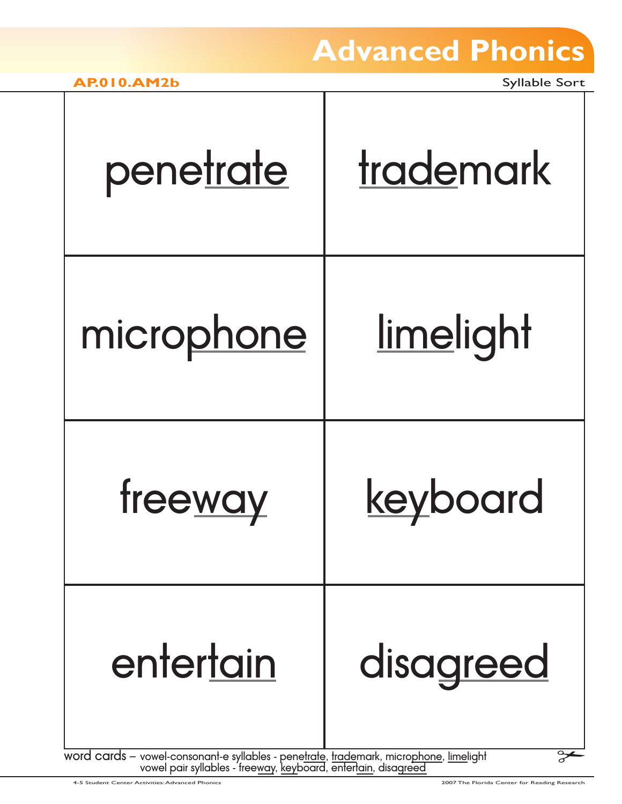| penetrate                                                                                           | trademark        |
|-----------------------------------------------------------------------------------------------------|------------------|
| microphone                                                                                          | <u>limelight</u> |
| freeway                                                                                             | keyboard         |
| entertain<br>word cards - vowel-consonant-e syllables - penetrate, trademark, microphone, limelight | disagreed        |

4-5 Student Center Activities: Advanced Phonics 2007 The Florida Center for Reading Research

vowel pair syllables - free<u>way, key</u>board, entert<u>ain,</u> disagreed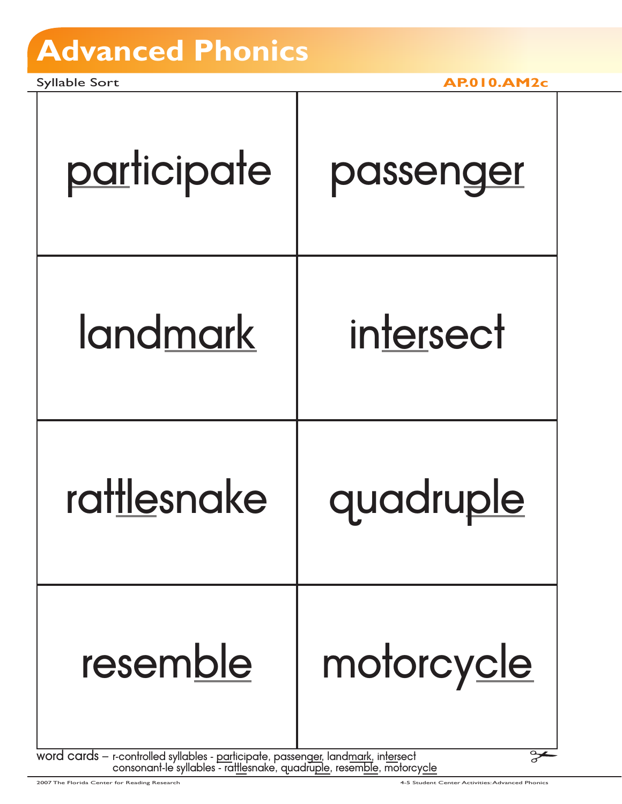Syllable Sort **AP.010.AM2c**

| participate                                                                                   | passenger  |
|-----------------------------------------------------------------------------------------------|------------|
| landmark                                                                                      | intersect  |
| rattlesnake                                                                                   | quadruple  |
| resemble<br>word cards - r-controlled syllables - participate, passenger, landmark, intersect | motorcycle |

word cards – r-controlled syllables - <u>par</u>ticipate, passeng<u>er</u>, land<u>mark</u>, in<u>ter</u>sect consonant-le syllables - rat<u>tle</u>snake, quadru<u>ple,</u> resem<u>ble,</u> motorcy<u>cle</u>